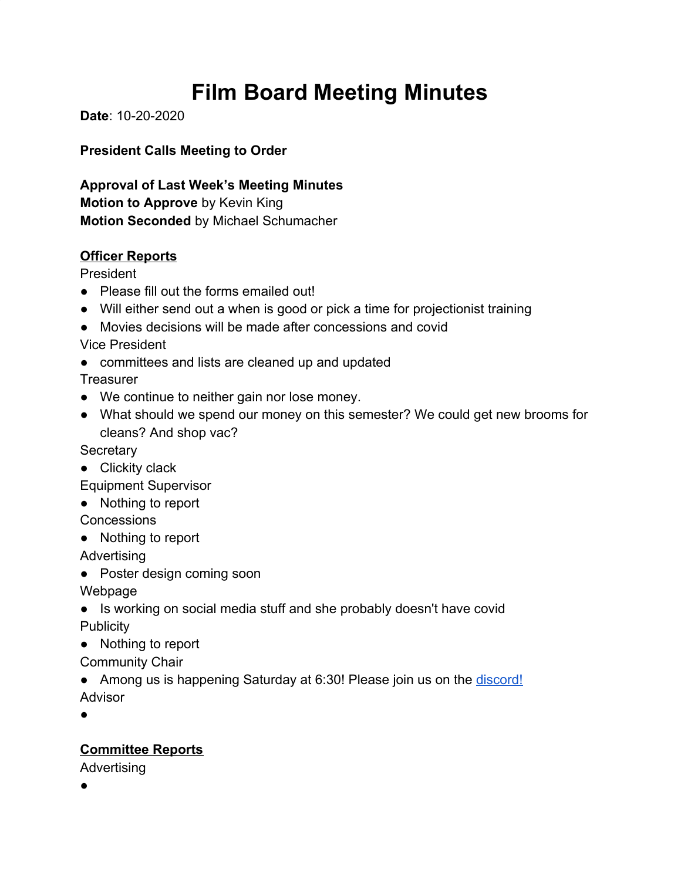# **Film Board Meeting Minutes**

**Date**: 10-20-2020

**President Calls Meeting to Order**

**Approval of Last Week's Meeting Minutes Motion to Approve** by Kevin King **Motion Seconded** by Michael Schumacher

### **Officer Reports**

President

- Please fill out the forms emailed out!
- Will either send out a when is good or pick a time for projectionist training
- Movies decisions will be made after concessions and covid

Vice President

• committees and lists are cleaned up and updated

**Treasurer** 

- We continue to neither gain nor lose money.
- What should we spend our money on this semester? We could get new brooms for cleans? And shop vac?

**Secretary** 

● Clickity clack

Equipment Supervisor

● Nothing to report

**Concessions** 

● Nothing to report

Advertising

• Poster design coming soon

Webpage

- Is working on social media stuff and she probably doesn't have covid **Publicity**
- Nothing to report

Community Chair

• Among us is happening Saturday at 6:30! Please join us on the [discord!](https://discord.gg/4eMd2cQ) Advisor

●

# **Committee Reports**

Advertising

●